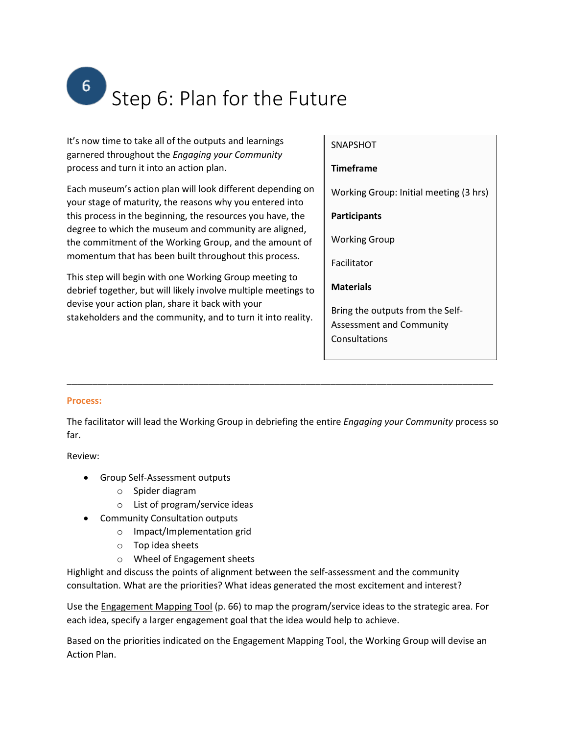# $6<sub>1</sub>$ Step 6: Plan for the Future

It's now time to take all of the outputs and learnings garnered throughout the *Engaging your Community* process and turn it into an action plan.

Each museum's action plan will look different depending on your stage of maturity, the reasons why you entered into this process in the beginning, the resources you have, the degree to which the museum and community are aligned, the commitment of the Working Group, and the amount of momentum that has been built throughout this process.

This step will begin with one Working Group meeting to debrief together, but will likely involve multiple meetings to devise your action plan, share it back with your stakeholders and the community, and to turn it into reality.

## SNAPSHOT

### **Timeframe**

Working Group: Initial meeting (3 hrs)

**Participants**

Working Group

Facilitator

**Materials**

Bring the outputs from the Self-Assessment and Community Consultations

#### **Process:**

The facilitator will lead the Working Group in debriefing the entire *Engaging your Community* process so far.

\_\_\_\_\_\_\_\_\_\_\_\_\_\_\_\_\_\_\_\_\_\_\_\_\_\_\_\_\_\_\_\_\_\_\_\_\_\_\_\_\_\_\_\_\_\_\_\_\_\_\_\_\_\_\_\_\_\_\_\_\_\_\_\_\_\_\_\_\_\_\_\_\_\_\_\_\_\_\_\_\_\_\_\_

#### Review:

- Group Self-Assessment outputs
	- o Spider diagram
	- o List of program/service ideas
- Community Consultation outputs
	- o Impact/Implementation grid
	- o Top idea sheets
	- o Wheel of Engagement sheets

Highlight and discuss the points of alignment between the self-assessment and the community consultation. What are the priorities? What ideas generated the most excitement and interest?

Use the Engagement Mapping Tool (p. 66) to map the program/service ideas to the strategic area. For each idea, specify a larger engagement goal that the idea would help to achieve.

Based on the priorities indicated on the Engagement Mapping Tool, the Working Group will devise an Action Plan.